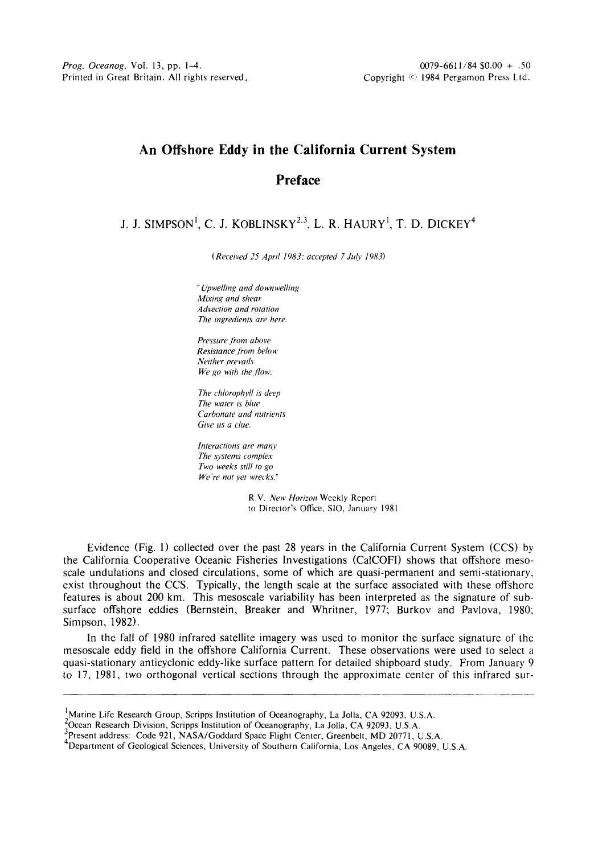## **An Offshore Eddy in the California Current System Preface**

## J, J. SIMPSON<sup>1</sup>, C. J. KOBLINSKY<sup>2,3</sup>, L. R. HAURY<sup>1</sup>, T. D. DICKEY<sup>4</sup>

*(Received 25 April 1983; accepted 7 July 1983)* 

*"Upwelling and do wn welling Mixing and shear Advection and rotation The ingredients are here.* 

*Pressure fi'om above Resistance from below Neither prevails We go with the flow.* 

*The chlorophyll is deep The water is blue Carbonate and nutrients Give us a clue.* 

*Interactions are many The systems complex Two weeks still to go We're not vet wrecks."* 

> R.V. *New Horizon* Weekly Report to Director's Office, S10, January 1981

Evidence (Fig. 1) collected over the past 28 years in the California Current System (CCS) by the California Cooperative Oceanic Fisheries Investigations (CalCOFI) shows that offshore mesoscale undulations and closed circulations, some of which are quasi-permanent and semi-stationary, exist throughout the CCS. Typically, the length scale at the surface associated with these offshore features is about 200 km. This mesoscale variability has been interpreted as the signature of subsurface offshore eddies (Bernstein, Breaker and Whritner, 1977; Burkov and Pavlova, 1980; Simpson, 1982).

In the fall of 1980 infrared satellite imagery was used to monitor the surface signature of the mesoscale eddy field in the offshore California Current. These observations were used to select a quasi-stationary anticyclonic eddy-like surface pattern for detailed shipboard study. From January 9 to 17, 1981, two orthogonal vertical sections through the approximate center of this infrared sur-

 $1$ Marine Life Research Group, Scripps Institution of Oceanography, La Jolla, CA 92093, U.S.A.

<sup>&</sup>lt;sup>2</sup>Ocean Research Division, Scripps Institution of Oceanography, La Jolla, CA 92093, U.S.A.

<sup>3</sup>present address: Code 921, NASA/Goddard Space Flight Center, Greenbelt, MD 20771, U.S.A.

<sup>4</sup>Department of Geological Sciences, University of Southern California, Los Angeles, CA 90089, U.S.A.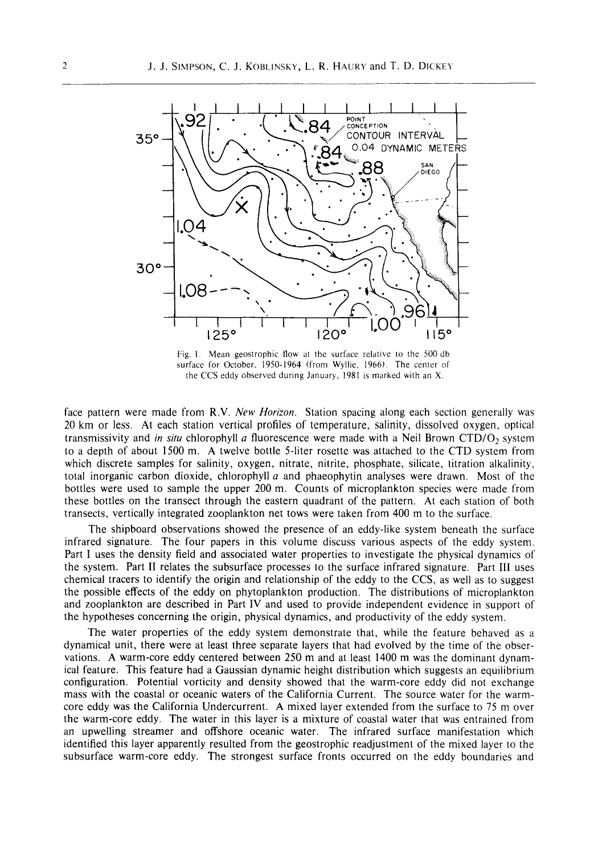

Fig. I. Mean geostrophic flow at the surface relative to the 500 db surface for October, 1950-1964 (from Wyllie, 1966). The center of the CCS eddy observed during January, 1981 is marked with an X.

face pattern were made from R.V. *New Horizon.* Station spacing along each section generally was 20 km or less. At each station vertical profiles of temperature, salinity, dissolved oxygen, optical transmissivity and *in situ* chlorophyll a fluorescence were made with a Neil Brown CTD/O<sub>2</sub> system to a depth of about 1500 m. A twelve bottle 5-liter rosette was attached to the CTD system from which discrete samples for salinity, oxygen, nitrate, nitrite, phosphate, silicate, titration alkalinity, total inorganic carbon dioxide, chlorophyll  $a$  and phaeophytin analyses were drawn. Most of the bottles were used to sample the upper 200 m. Counts of microplankton species were made from these bottles on the transect through the eastern quadrant of the pattern. At each station of both transects, vertically integrated zooplankton net tows were taken from 400 m to the surface.

The shipboard observations showed the presence of an eddy-like system beneath the surface infrared signature. The four papers in this volume discuss various aspects of the eddy system. Part I uses the density field and associated water properties to investigate the physical dynamics of the system. Part II relates the subsurface processes to the surface infrared signature. Part Ill uses chemical tracers to identify the origin and relationship of the eddy to the CCS, as well as to suggest the possible effects of the eddy on phytoplankton production. The distributions of microplankton and zooplankton are described in Part IV and used to provide independent evidence in support of the hypotheses concerning the origin, physical dynamics, and productivity of the eddy system.

The water properties of the eddy system demonstrate that, while the feature behaved as a dynamical unit, there were at least three separate layers that had evolved by the time of the observations. A warm-core eddy centered between 250 m and at least 1400 m was the dominant dynamical feature. This feature had a Gaussian dynamic height distribution which suggests an equilibrium configuration. Potential vorticity and density showed that the warm-core eddy did not exchange mass with the coastal or oceanic waters of the California Current. The source water for the warmcore eddy was the California Undercurrent. A mixed layer extended from the surface to 75 m over the warm-core eddy. The water in this layer is a mixture of coastal water that was entrained from an upwelling streamer and offshore oceanic water. The infrared surface manifestation which identified this layer apparently resulted from the geostrophic readjustment of the mixed layer to the subsurface warm-core eddy. The strongest surface fronts occurred on the eddy boundaries and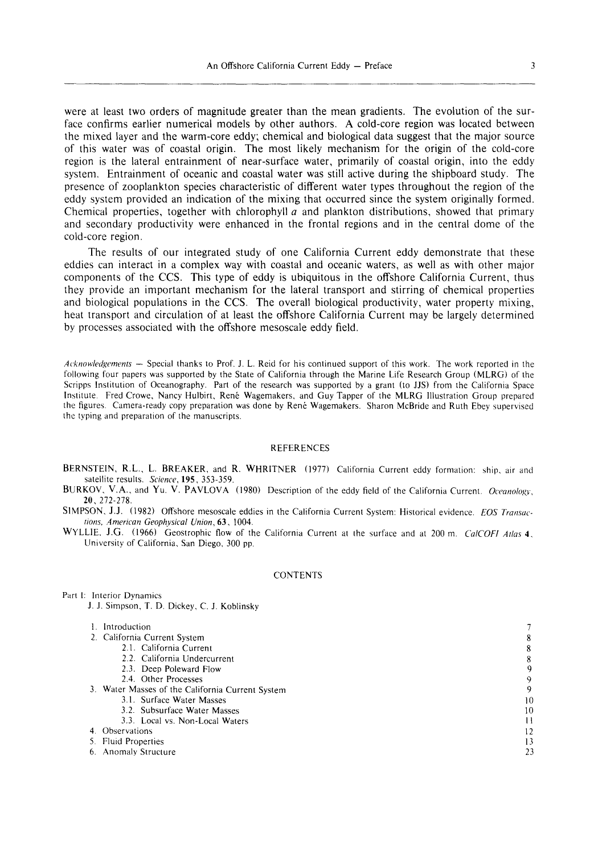were at least two orders of magnitude greater than the mean gradients. The evolution of the surface confirms earlier numerical models by other authors. A cold-core region was located between the mixed layer and the warm-core eddy; chemical and biological data suggest that the major source of this water was of coastal origin. The most likely mechanism for the origin of the cold-core region is the lateral entrainment of near-surface water, primarily of coastal origin, into the eddy system, Entrainment of oceanic and coastal water was still active during the shipboard study. The presence of zooplankton species characteristic of different water types throughout the region of the eddy system provided an indication of the mixing that occurred since the system originally formed. Chemical properties, together with chlorophyll  $a$  and plankton distributions, showed that primary and secondary productivity were enhanced in the frontal regions and in the central dome of the cold-core region.

The results of our integrated study of one California Current eddy demonstrate that these eddies can interact in a complex way with coastal and oceanic waters, as well as with other major components of the CCS. This type of eddy is ubiquitous in the offshore California Current, thus they provide an important mechanism for the lateral transport and stirring of chemical properties and biological populations in the CCS. The overall biological productivity, water property mixing, heat transport and circulation of at least the offshore California Current may be largely determined by processes associated with the offshore mesoscale eddy field.

*Acknowledgements --* Special thanks to Prof. J. L. Reid for his continued support of this work. The work reported in the following four papers was supported by the State of California through the Marine Life Research Group (MLRG) of the Scripps Institution of Oceanography. Part of the research was supported by a grant (to JJS) from the California Space Institute. Fred Crowe, Nancy Hulbirt, René Wagemakers, and Guy Tapper of the MLRG Illustration Group prepared the figures. Camera-ready copy preparation was done by René Wagemakers. Sharon McBride and Ruth Ebey supervised the typing and preparation of the manuscripts.

## REFERENCES

- BERNSTEIN, R.L., L. BREAKER, and R. WHRITNER (1977) California Current eddy formation: ship, air and satellite results. *Science,* 195, 353-359.
- BURKOV, V.A., and Yu. V. PAVLOVA (1980) Description of the eddy field of the California Current. *Oceanology,*  20,272-278.
- SIMPSON, J.J. (1982) Offshore mesoscale eddies in the California Current System: Historical evidence. *EOS Transactions, American Geophysical Union,* 63, 1004.
- WYLLIE, J.G. (1966) Geostrophic flow of the California Current at the surface and at 200 m. *CalCOFI Atlas* 4, University of California, San Diego, 300 pp.

## **CONTENTS**

Part 1: Interior Dynamics J. J. Simpson, T. D. Dickey, C. J. Koblinsky

| Introduction |  |
|--------------|--|
|              |  |

|  | 2. California Current System |  |
|--|------------------------------|--|
|  |                              |  |

| 2.1. California Current                          | 8  |
|--------------------------------------------------|----|
| 2.2. California Undercurrent                     | 8  |
| 2.3. Deep Poleward Flow                          | 9  |
| 2.4. Other Processes                             | 9  |
| 3. Water Masses of the California Current System | 9  |
| 3.1. Surface Water Masses                        | 10 |
| 3.2. Subsurface Water Masses                     | 10 |
| 3.3. Local vs. Non-Local Waters                  | 11 |
| 4. Observations                                  | 12 |
| 5. Fluid Properties                              | 13 |
| 6. Anomaly Structure                             | 23 |

7 **8**